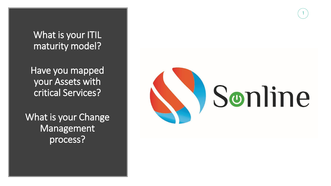

What is your ITIL maturity model?

Have you mapped your Assets with critical Services?

What is your Change Management process?

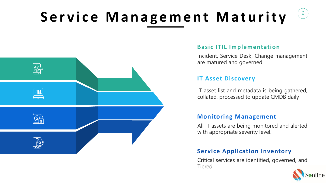# Service Management Maturity





## **Service Application Inventory**

Critical services are identified, governed, and Tiered



### **Basic ITIL Implementation**

Incident, Service Desk, Change management are matured and governed

## **IT Asset Discovery**

IT asset list and metadata is being gathered, collated, processed to update CMDB daily

## **Monitoring Management**

All IT assets are being monitored and alerted with appropriate severity level.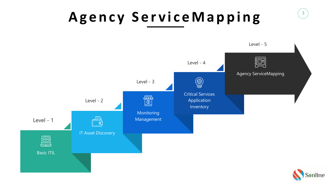3

# **A g e n c y S e r v i c e M a p p i n g**







Level - 3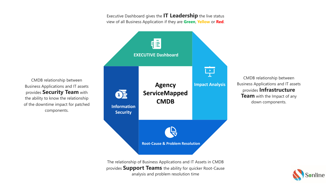

CMDB relationship between Business Applications and IT assets provides **Infrastructure Team** with the Impact of any down components.



CMDB relationship between Business Applications and IT assets provides **Security Team** with the ability to know the relationship of the downtime impact for patched components.

> The relationship of Business Applications and IT Assets in CMDB provides **Support Teams** the ability for quicker Root-Cause analysis and problem resolution time

> Executive Dashboard gives the **IT Leadership** the live status view of all Business Application if they are **Green**, **Yellow** or **Red**.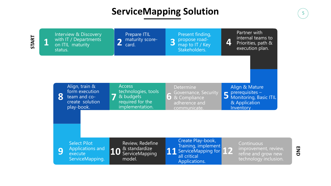**1**

**2** Prepare ITIL maturity score-<br>card. **3** 

Interview & Discovery with IT / Departments on ITIL maturity status.

> **5** prerequisites – Align & Mature Monitoring, Basic ITIL & Application **Inventory**

Present finding, propose roadmap to IT / Key Stakeholders.

**4**

**Determine** Governance, Security & Compliance adherence and communicate.

Partner with internal teams to Priorities, path & execution plan.

**6**

Continuous improvement, review, refine and grow new technology inclusion.

**7** Access technologies, tools & budgets required for the implementation.



Align, train & form execution team and cocreate solution play-book.

> **11** Create Play-book, Training, implement ServiceMapping for all critical Applications. **12**

**10** Review, Redefine & standardize ServiceMapping model.

**9**

Select Pilot Applications and execute ServiceMapping.

## **ServiceMapping Solution** 65

**START**